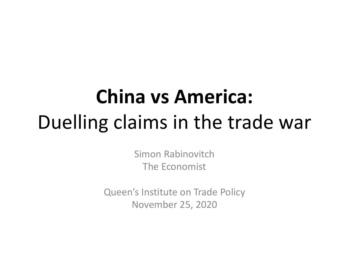# **China vs America:** Duelling claims in the trade war

Simon Rabinovitch The Economist

Queen's Institute on Trade Policy November 25, 2020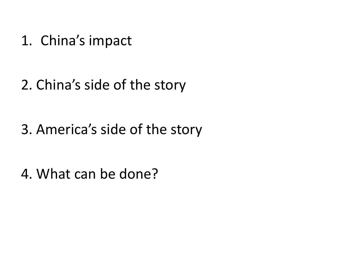1. China's impact

2. China's side of the story

3. America's side of the story

4. What can be done?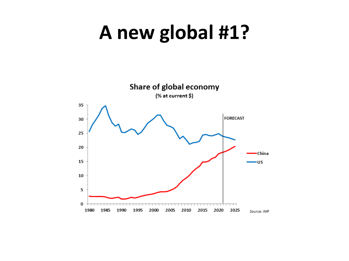### **A new global #1?**

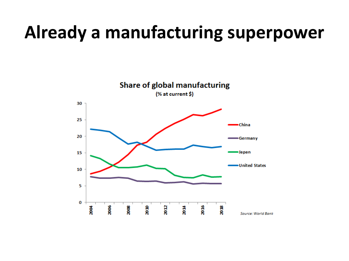#### **Already a manufacturing superpower**

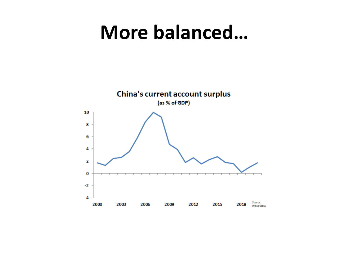#### More balanced...

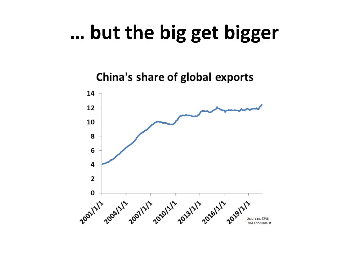#### ... but the big get bigger

China's share of global exports

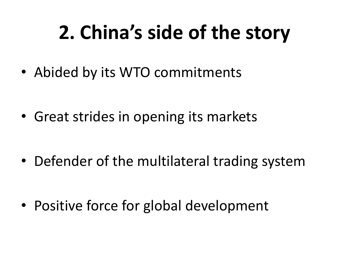# **2. China's side of the story**

• Abided by its WTO commitments

• Great strides in opening its markets

• Defender of the multilateral trading system

• Positive force for global development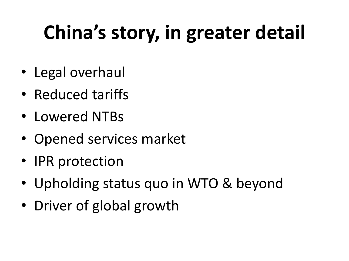# **China's story, in greater detail**

- Legal overhaul
- Reduced tariffs
- Lowered NTBs
- Opened services market
- IPR protection
- Upholding status quo in WTO & beyond
- Driver of global growth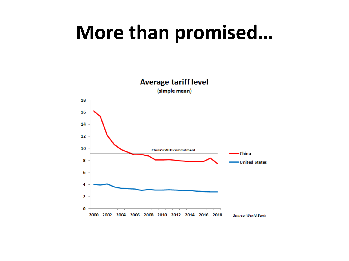#### More than promised...

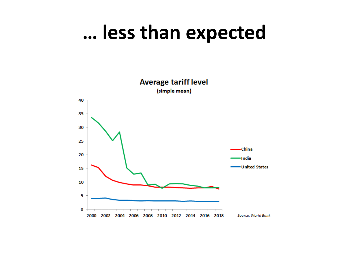#### ... less than expected

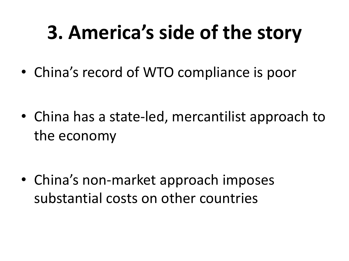## **3. America's side of the story**

• China's record of WTO compliance is poor

• China has a state-led, mercantilist approach to the economy

• China's non-market approach imposes substantial costs on other countries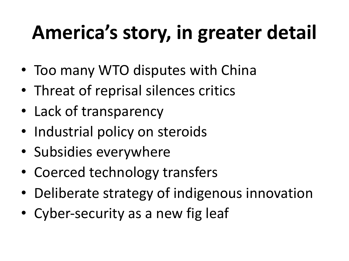# **America's story, in greater detail**

- Too many WTO disputes with China
- Threat of reprisal silences critics
- Lack of transparency
- Industrial policy on steroids
- Subsidies everywhere
- Coerced technology transfers
- Deliberate strategy of indigenous innovation
- Cyber-security as a new fig leaf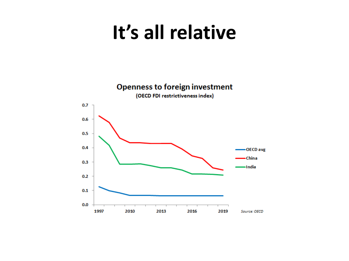#### **It's all relative**

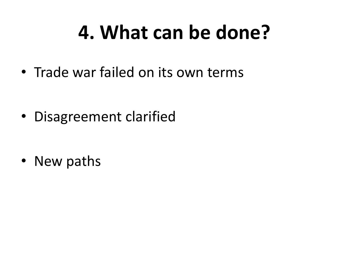### **4. What can be done?**

• Trade war failed on its own terms

• Disagreement clarified

• New paths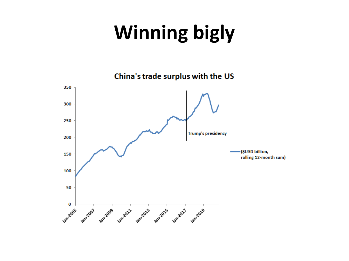# **Winning bigly**

China's trade surplus with the US

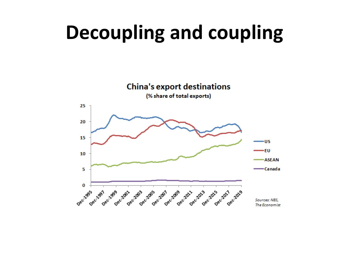### **Decoupling and coupling**

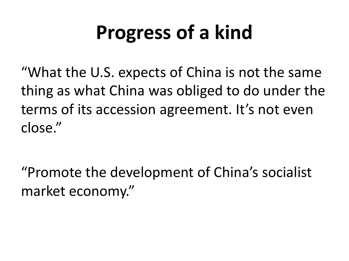## **Progress of a kind**

"What the U.S. expects of China is not the same thing as what China was obliged to do under the terms of its accession agreement. It's not even close."

"Promote the development of China's socialist market economy."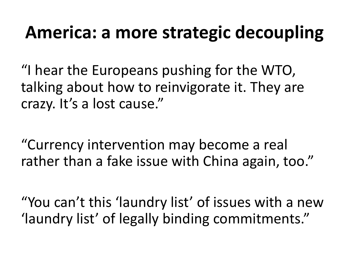#### **America: a more strategic decoupling**

"I hear the Europeans pushing for the WTO, talking about how to reinvigorate it. They are crazy. It's a lost cause."

"Currency intervention may become a real rather than a fake issue with China again, too."

"You can't this 'laundry list' of issues with a new 'laundry list' of legally binding commitments."